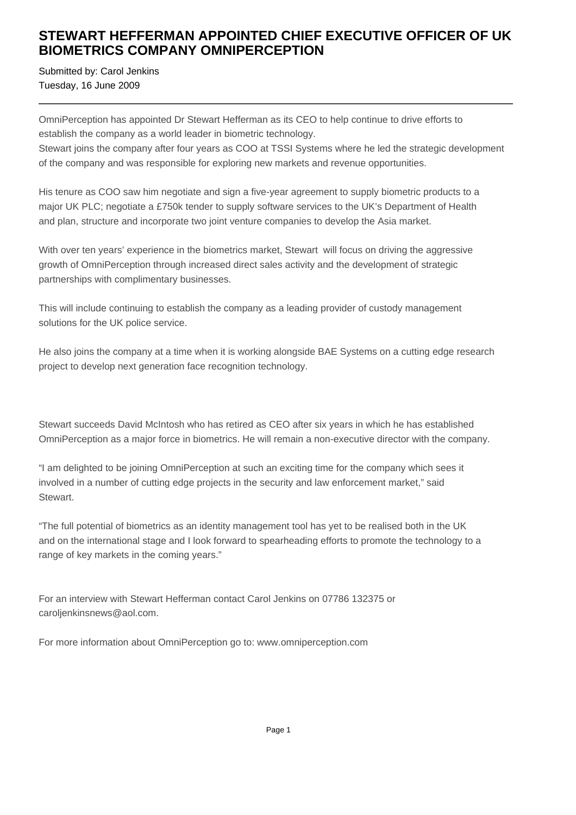## **STEWART HEFFERMAN APPOINTED CHIEF EXECUTIVE OFFICER OF UK BIOMETRICS COMPANY OMNIPERCEPTION**

Submitted by: Carol Jenkins Tuesday, 16 June 2009

OmniPerception has appointed Dr Stewart Hefferman as its CEO to help continue to drive efforts to establish the company as a world leader in biometric technology.

Stewart joins the company after four years as COO at TSSI Systems where he led the strategic development of the company and was responsible for exploring new markets and revenue opportunities.

His tenure as COO saw him negotiate and sign a five-year agreement to supply biometric products to a major UK PLC; negotiate a £750k tender to supply software services to the UK's Department of Health and plan, structure and incorporate two joint venture companies to develop the Asia market.

With over ten years' experience in the biometrics market. Stewart will focus on driving the aggressive growth of OmniPerception through increased direct sales activity and the development of strategic partnerships with complimentary businesses.

This will include continuing to establish the company as a leading provider of custody management solutions for the UK police service.

He also joins the company at a time when it is working alongside BAE Systems on a cutting edge research project to develop next generation face recognition technology.

Stewart succeeds David McIntosh who has retired as CEO after six years in which he has established OmniPerception as a major force in biometrics. He will remain a non-executive director with the company.

"I am delighted to be joining OmniPerception at such an exciting time for the company which sees it involved in a number of cutting edge projects in the security and law enforcement market," said Stewart.

"The full potential of biometrics as an identity management tool has yet to be realised both in the UK and on the international stage and I look forward to spearheading efforts to promote the technology to a range of key markets in the coming years."

For an interview with Stewart Hefferman contact Carol Jenkins on 07786 132375 or caroljenkinsnews@aol.com.

For more information about OmniPerception go to: www.omniperception.com